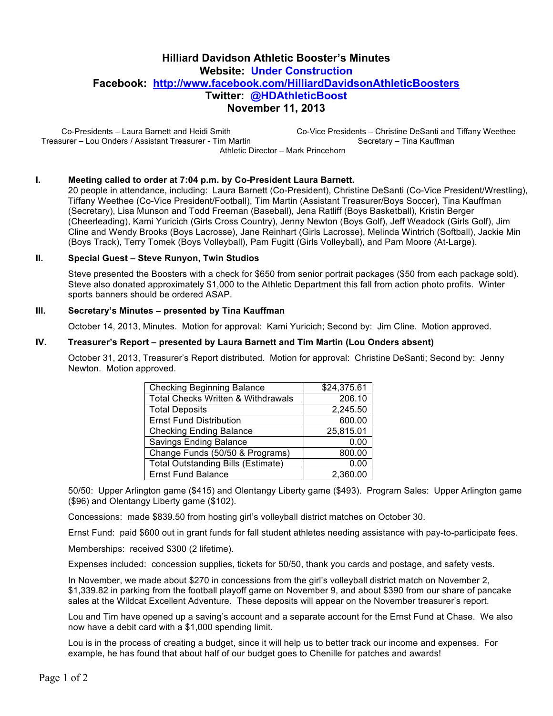# **Hilliard Davidson Athletic Booster's Minutes Website: Under Construction Facebook: http://www.facebook.com/HilliardDavidsonAthleticBoosters Twitter: @HDAthleticBoost November 11, 2013**

Co-Presidents – Laura Barnett and Heidi Smith Treasurer – Lou Onders / Assistant Treasurer - Tim Martin Co-Vice Presidents – Christine DeSanti and Tiffany Weethee Secretary – Tina Kauffman Athletic Director – Mark Princehorn

#### **I. Meeting called to order at 7:04 p.m. by Co-President Laura Barnett.**

20 people in attendance, including: Laura Barnett (Co-President), Christine DeSanti (Co-Vice President/Wrestling), Tiffany Weethee (Co-Vice President/Football), Tim Martin (Assistant Treasurer/Boys Soccer), Tina Kauffman (Secretary), Lisa Munson and Todd Freeman (Baseball), Jena Ratliff (Boys Basketball), Kristin Berger (Cheerleading), Kami Yuricich (Girls Cross Country), Jenny Newton (Boys Golf), Jeff Weadock (Girls Golf), Jim Cline and Wendy Brooks (Boys Lacrosse), Jane Reinhart (Girls Lacrosse), Melinda Wintrich (Softball), Jackie Min (Boys Track), Terry Tomek (Boys Volleyball), Pam Fugitt (Girls Volleyball), and Pam Moore (At-Large).

#### **II. Special Guest – Steve Runyon, Twin Studios**

Steve presented the Boosters with a check for \$650 from senior portrait packages (\$50 from each package sold). Steve also donated approximately \$1,000 to the Athletic Department this fall from action photo profits. Winter sports banners should be ordered ASAP.

#### **III. Secretary's Minutes – presented by Tina Kauffman**

October 14, 2013, Minutes. Motion for approval: Kami Yuricich; Second by: Jim Cline. Motion approved.

#### **IV. Treasurer's Report – presented by Laura Barnett and Tim Martin (Lou Onders absent)**

October 31, 2013, Treasurer's Report distributed. Motion for approval: Christine DeSanti; Second by: Jenny Newton. Motion approved.

| <b>Checking Beginning Balance</b>             | \$24,375.61 |
|-----------------------------------------------|-------------|
| <b>Total Checks Written &amp; Withdrawals</b> | 206.10      |
| <b>Total Deposits</b>                         | 2,245.50    |
| <b>Ernst Fund Distribution</b>                | 600.00      |
| <b>Checking Ending Balance</b>                | 25,815.01   |
| Savings Ending Balance                        | 0.00        |
| Change Funds (50/50 & Programs)               | 800.00      |
| <b>Total Outstanding Bills (Estimate)</b>     | 0.00        |
| <b>Ernst Fund Balance</b>                     | 2,360.00    |

50/50: Upper Arlington game (\$415) and Olentangy Liberty game (\$493). Program Sales: Upper Arlington game (\$96) and Olentangy Liberty game (\$102).

Concessions: made \$839.50 from hosting girl's volleyball district matches on October 30.

Ernst Fund: paid \$600 out in grant funds for fall student athletes needing assistance with pay-to-participate fees.

Memberships: received \$300 (2 lifetime).

Expenses included: concession supplies, tickets for 50/50, thank you cards and postage, and safety vests.

In November, we made about \$270 in concessions from the girl's volleyball district match on November 2, \$1,339.82 in parking from the football playoff game on November 9, and about \$390 from our share of pancake sales at the Wildcat Excellent Adventure. These deposits will appear on the November treasurer's report.

Lou and Tim have opened up a saving's account and a separate account for the Ernst Fund at Chase. We also now have a debit card with a \$1,000 spending limit.

Lou is in the process of creating a budget, since it will help us to better track our income and expenses. For example, he has found that about half of our budget goes to Chenille for patches and awards!